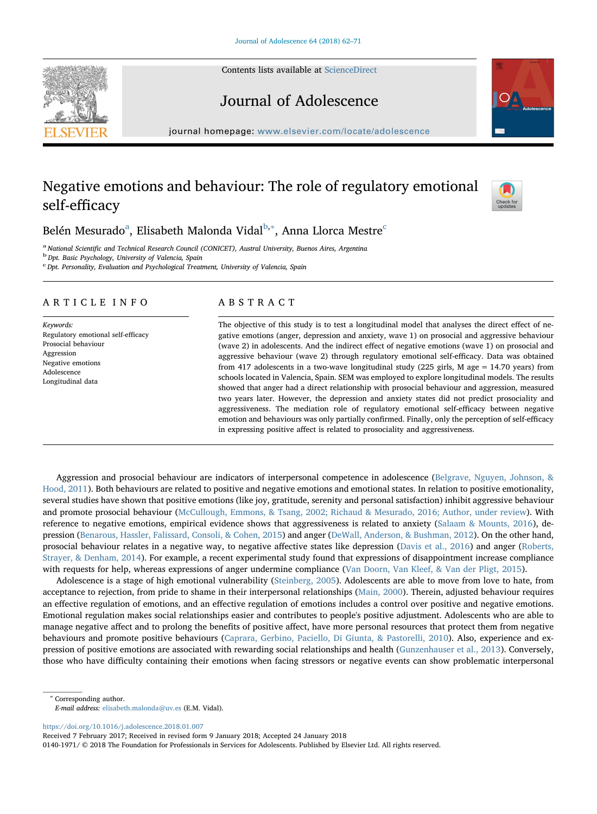Contents lists available at [ScienceDirect](http://www.sciencedirect.com/science/journal/01401971)





Journal of Adolescence

journal homepage: [www.elsevier.com/locate/adolescence](https://www.elsevier.com/locate/adolescence)

# Negative emotions and behaviour: The role of regulatory emotional self-efficacy



## Belén Mesur[a](#page-0-0)do<sup>a</sup>, Elisa[b](#page-0-1)eth Malonda Vidal<sup>b,[∗](#page-0-2)</sup>, Anna Llor[c](#page-0-3)a Mestre<sup>c</sup>

<span id="page-0-0"></span><sup>a</sup> National Scientific and Technical Research Council (CONICET), Austral University, Buenos Aires, Argentina<br><sup>b</sup> Dpt. Basic Psychology, University of Valencia, Spain

<span id="page-0-1"></span>

<span id="page-0-3"></span><sup>c</sup> Dpt. Personality, Evaluation and Psychological Treatment, University of Valencia, Spain

### ARTICLE INFO

Keywords: Regulatory emotional self-efficacy Prosocial behaviour Aggression Negative emotions Adolescence Longitudinal data

### ABSTRACT

The objective of this study is to test a longitudinal model that analyses the direct effect of negative emotions (anger, depression and anxiety, wave 1) on prosocial and aggressive behaviour (wave 2) in adolescents. And the indirect effect of negative emotions (wave 1) on prosocial and aggressive behaviour (wave 2) through regulatory emotional self-efficacy. Data was obtained from 417 adolescents in a two-wave longitudinal study (225 girls, M age  $= 14.70$  years) from schools located in Valencia, Spain. SEM was employed to explore longitudinal models. The results showed that anger had a direct relationship with prosocial behaviour and aggression, measured two years later. However, the depression and anxiety states did not predict prosociality and aggressiveness. The mediation role of regulatory emotional self-efficacy between negative emotion and behaviours was only partially confirmed. Finally, only the perception of self-efficacy in expressing positive affect is related to prosociality and aggressiveness.

Aggression and prosocial behaviour are indicators of interpersonal competence in adolescence ([Belgrave, Nguyen, Johnson, &](#page-8-0) [Hood, 2011](#page-8-0)). Both behaviours are related to positive and negative emotions and emotional states. In relation to positive emotionality, several studies have shown that positive emotions (like joy, gratitude, serenity and personal satisfaction) inhibit aggressive behaviour and promote prosocial behaviour ([McCullough, Emmons, & Tsang, 2002; Richaud & Mesurado, 2016; Author, under review](#page-9-0)). With reference to negative emotions, empirical evidence shows that aggressiveness is related to anxiety [\(Salaam & Mounts, 2016](#page-9-1)), depression [\(Benarous, Hassler, Falissard, Consoli, & Cohen, 2015](#page-8-1)) and anger [\(DeWall, Anderson, & Bushman, 2012](#page-9-2)). On the other hand, prosocial behaviour relates in a negative way, to negative affective states like depression [\(Davis et al., 2016\)](#page-9-3) and anger [\(Roberts,](#page-9-4) [Strayer, & Denham, 2014\)](#page-9-4). For example, a recent experimental study found that expressions of disappointment increase compliance with requests for help, whereas expressions of anger undermine compliance [\(Van Doorn, Van Kleef, & Van der Pligt, 2015\)](#page-9-5).

Adolescence is a stage of high emotional vulnerability [\(Steinberg, 2005](#page-9-6)). Adolescents are able to move from love to hate, from acceptance to rejection, from pride to shame in their interpersonal relationships ([Main, 2000](#page-9-7)). Therein, adjusted behaviour requires an effective regulation of emotions, and an effective regulation of emotions includes a control over positive and negative emotions. Emotional regulation makes social relationships easier and contributes to people's positive adjustment. Adolescents who are able to manage negative affect and to prolong the benefits of positive affect, have more personal resources that protect them from negative behaviours and promote positive behaviours ([Caprara, Gerbino, Paciello, Di Giunta, & Pastorelli, 2010](#page-8-2)). Also, experience and expression of positive emotions are associated with rewarding social relationships and health [\(Gunzenhauser et al., 2013\)](#page-9-8). Conversely, those who have difficulty containing their emotions when facing stressors or negative events can show problematic interpersonal

<span id="page-0-2"></span><sup>∗</sup> Corresponding author.

<https://doi.org/10.1016/j.adolescence.2018.01.007>

Received 7 February 2017; Received in revised form 9 January 2018; Accepted 24 January 2018

0140-1971/ © 2018 The Foundation for Professionals in Services for Adolescents. Published by Elsevier Ltd. All rights reserved.

E-mail address: [elisabeth.malonda@uv.es](mailto:elisabeth.malonda@uv.es) (E.M. Vidal).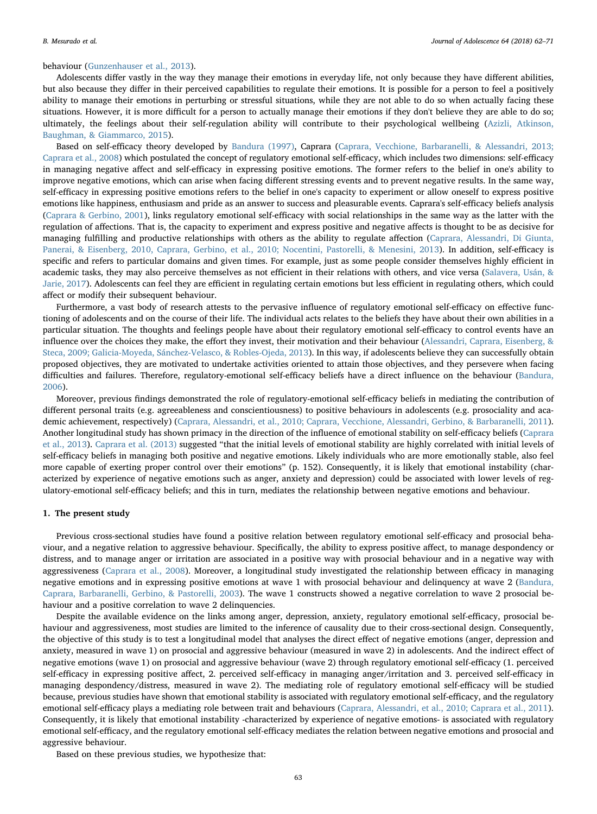#### behaviour [\(Gunzenhauser et al., 2013\)](#page-9-8).

Adolescents differ vastly in the way they manage their emotions in everyday life, not only because they have different abilities, but also because they differ in their perceived capabilities to regulate their emotions. It is possible for a person to feel a positively ability to manage their emotions in perturbing or stressful situations, while they are not able to do so when actually facing these situations. However, it is more difficult for a person to actually manage their emotions if they don't believe they are able to do so; ultimately, the feelings about their self-regulation ability will contribute to their psychological wellbeing ([Azizli, Atkinson,](#page-8-3) [Baughman, & Giammarco, 2015](#page-8-3)).

Based on self-efficacy theory developed by [Bandura \(1997\),](#page-8-4) Caprara ([Caprara, Vecchione, Barbaranelli, & Alessandri, 2013;](#page-8-5) [Caprara et al., 2008](#page-8-5)) which postulated the concept of regulatory emotional self-efficacy, which includes two dimensions: self-efficacy in managing negative affect and self-efficacy in expressing positive emotions. The former refers to the belief in one's ability to improve negative emotions, which can arise when facing different stressing events and to prevent negative results. In the same way, self-efficacy in expressing positive emotions refers to the belief in one's capacity to experiment or allow oneself to express positive emotions like happiness, enthusiasm and pride as an answer to success and pleasurable events. Caprara's self-efficacy beliefs analysis ([Caprara & Gerbino, 2001\)](#page-8-6), links regulatory emotional self-efficacy with social relationships in the same way as the latter with the regulation of affections. That is, the capacity to experiment and express positive and negative affects is thought to be as decisive for managing fulfilling and productive relationships with others as the ability to regulate affection [\(Caprara, Alessandri, Di Giunta,](#page-8-7) [Panerai, & Eisenberg, 2010,](#page-8-7) [Caprara, Gerbino, et al., 2010; Nocentini, Pastorelli, & Menesini, 2013\)](#page-8-2). In addition, self-efficacy is specific and refers to particular domains and given times. For example, just as some people consider themselves highly efficient in academic tasks, they may also perceive themselves as not efficient in their relations with others, and vice versa ([Salavera, Usán, &](#page-9-9) [Jarie, 2017\)](#page-9-9). Adolescents can feel they are efficient in regulating certain emotions but less efficient in regulating others, which could affect or modify their subsequent behaviour.

Furthermore, a vast body of research attests to the pervasive influence of regulatory emotional self-efficacy on effective functioning of adolescents and on the course of their life. The individual acts relates to the beliefs they have about their own abilities in a particular situation. The thoughts and feelings people have about their regulatory emotional self-efficacy to control events have an influence over the choices they make, the effort they invest, their motivation and their behaviour [\(Alessandri, Caprara, Eisenberg, &](#page-8-8) [Steca, 2009; Galicia-Moyeda, Sánchez-Velasco, & Robles-Ojeda, 2013\)](#page-8-8). In this way, if adolescents believe they can successfully obtain proposed objectives, they are motivated to undertake activities oriented to attain those objectives, and they persevere when facing difficulties and failures. Therefore, regulatory-emotional self-efficacy beliefs have a direct influence on the behaviour [\(Bandura,](#page-8-9) [2006\)](#page-8-9).

Moreover, previous findings demonstrated the role of regulatory-emotional self-efficacy beliefs in mediating the contribution of different personal traits (e.g. agreeableness and conscientiousness) to positive behaviours in adolescents (e.g. prosociality and academic achievement, respectively) ([Caprara, Alessandri, et al., 2010; Caprara, Vecchione, Alessandri, Gerbino, & Barbaranelli, 2011\)](#page-8-7). Another longitudinal study has shown primacy in the direction of the influence of emotional stability on self-efficacy beliefs [\(Caprara](#page-8-5) [et al., 2013](#page-8-5)). [Caprara et al. \(2013\)](#page-8-5) suggested "that the initial levels of emotional stability are highly correlated with initial levels of self-efficacy beliefs in managing both positive and negative emotions. Likely individuals who are more emotionally stable, also feel more capable of exerting proper control over their emotions" (p. 152). Consequently, it is likely that emotional instability (characterized by experience of negative emotions such as anger, anxiety and depression) could be associated with lower levels of regulatory-emotional self-efficacy beliefs; and this in turn, mediates the relationship between negative emotions and behaviour.

#### 1. The present study

Previous cross-sectional studies have found a positive relation between regulatory emotional self-efficacy and prosocial behaviour, and a negative relation to aggressive behaviour. Specifically, the ability to express positive affect, to manage despondency or distress, and to manage anger or irritation are associated in a positive way with prosocial behaviour and in a negative way with aggressiveness [\(Caprara et al., 2008\)](#page-8-10). Moreover, a longitudinal study investigated the relationship between efficacy in managing negative emotions and in expressing positive emotions at wave 1 with prosocial behaviour and delinquency at wave 2 [\(Bandura,](#page-8-11) [Caprara, Barbaranelli, Gerbino, & Pastorelli, 2003](#page-8-11)). The wave 1 constructs showed a negative correlation to wave 2 prosocial behaviour and a positive correlation to wave 2 delinquencies.

Despite the available evidence on the links among anger, depression, anxiety, regulatory emotional self-efficacy, prosocial behaviour and aggressiveness, most studies are limited to the inference of causality due to their cross-sectional design. Consequently, the objective of this study is to test a longitudinal model that analyses the direct effect of negative emotions (anger, depression and anxiety, measured in wave 1) on prosocial and aggressive behaviour (measured in wave 2) in adolescents. And the indirect effect of negative emotions (wave 1) on prosocial and aggressive behaviour (wave 2) through regulatory emotional self-efficacy (1. perceived self-efficacy in expressing positive affect, 2. perceived self-efficacy in managing anger/irritation and 3. perceived self-efficacy in managing despondency/distress, measured in wave 2). The mediating role of regulatory emotional self-efficacy will be studied because, previous studies have shown that emotional stability is associated with regulatory emotional self-efficacy, and the regulatory emotional self-efficacy plays a mediating role between trait and behaviours [\(Caprara, Alessandri, et al., 2010; Caprara et al., 2011\)](#page-8-7). Consequently, it is likely that emotional instability -characterized by experience of negative emotions- is associated with regulatory emotional self-efficacy, and the regulatory emotional self-efficacy mediates the relation between negative emotions and prosocial and aggressive behaviour.

Based on these previous studies, we hypothesize that: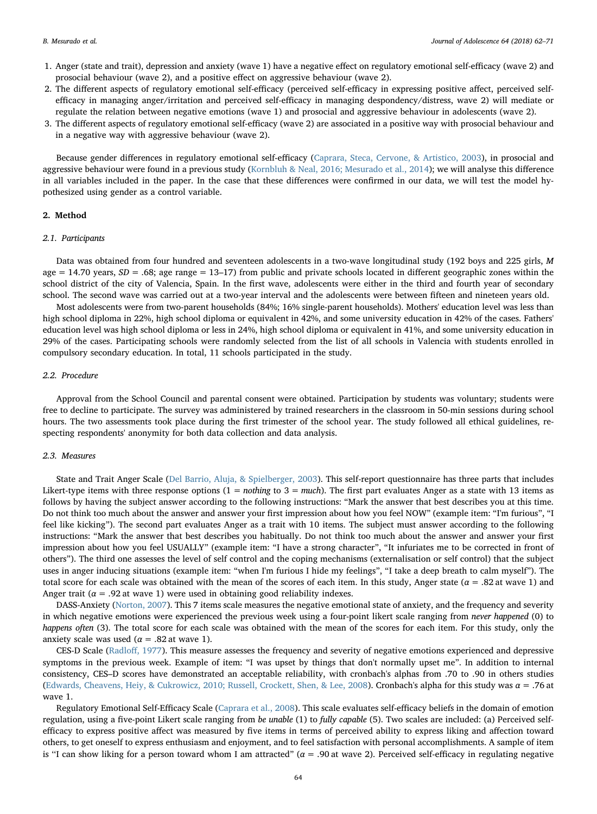- 1. Anger (state and trait), depression and anxiety (wave 1) have a negative effect on regulatory emotional self-efficacy (wave 2) and prosocial behaviour (wave 2), and a positive effect on aggressive behaviour (wave 2).
- 2. The different aspects of regulatory emotional self-efficacy (perceived self-efficacy in expressing positive affect, perceived selfefficacy in managing anger/irritation and perceived self-efficacy in managing despondency/distress, wave 2) will mediate or regulate the relation between negative emotions (wave 1) and prosocial and aggressive behaviour in adolescents (wave 2).
- 3. The different aspects of regulatory emotional self-efficacy (wave 2) are associated in a positive way with prosocial behaviour and in a negative way with aggressive behaviour (wave 2).

Because gender differences in regulatory emotional self-efficacy ([Caprara, Steca, Cervone, & Artistico, 2003](#page-8-12)), in prosocial and aggressive behaviour were found in a previous study [\(Kornbluh & Neal, 2016; Mesurado et al., 2014](#page-9-10)); we will analyse this difference in all variables included in the paper. In the case that these differences were confirmed in our data, we will test the model hypothesized using gender as a control variable.

#### 2. Method

#### 2.1. Participants

Data was obtained from four hundred and seventeen adolescents in a two-wave longitudinal study (192 boys and 225 girls, M age = 14.70 years,  $SD = .68$ ; age range = 13–17) from public and private schools located in different geographic zones within the school district of the city of Valencia, Spain. In the first wave, adolescents were either in the third and fourth year of secondary school. The second wave was carried out at a two-year interval and the adolescents were between fifteen and nineteen years old.

Most adolescents were from two-parent households (84%; 16% single-parent households). Mothers' education level was less than high school diploma in 22%, high school diploma or equivalent in 42%, and some university education in 42% of the cases. Fathers' education level was high school diploma or less in 24%, high school diploma or equivalent in 41%, and some university education in 29% of the cases. Participating schools were randomly selected from the list of all schools in Valencia with students enrolled in compulsory secondary education. In total, 11 schools participated in the study.

#### 2.2. Procedure

Approval from the School Council and parental consent were obtained. Participation by students was voluntary; students were free to decline to participate. The survey was administered by trained researchers in the classroom in 50-min sessions during school hours. The two assessments took place during the first trimester of the school year. The study followed all ethical guidelines, respecting respondents' anonymity for both data collection and data analysis.

#### 2.3. Measures

State and Trait Anger Scale [\(Del Barrio, Aluja, & Spielberger, 2003\)](#page-9-11). This self-report questionnaire has three parts that includes Likert-type items with three response options  $(1 = nothing to 3 = much)$ . The first part evaluates Anger as a state with 13 items as follows by having the subject answer according to the following instructions: "Mark the answer that best describes you at this time. Do not think too much about the answer and answer your first impression about how you feel NOW" (example item: "I'm furious", "I feel like kicking"). The second part evaluates Anger as a trait with 10 items. The subject must answer according to the following instructions: "Mark the answer that best describes you habitually. Do not think too much about the answer and answer your first impression about how you feel USUALLY" (example item: "I have a strong character", "It infuriates me to be corrected in front of others"). The third one assesses the level of self control and the coping mechanisms (externalisation or self control) that the subject uses in anger inducing situations (example item: "when I'm furious I hide my feelings", "I take a deep breath to calm myself"). The total score for each scale was obtained with the mean of the scores of each item. In this study, Anger state ( $\alpha = .82$  at wave 1) and Anger trait ( $\alpha$  = .92 at wave 1) were used in obtaining good reliability indexes.

DASS-Anxiety [\(Norton, 2007](#page-9-12)). This 7 items scale measures the negative emotional state of anxiety, and the frequency and severity in which negative emotions were experienced the previous week using a four-point likert scale ranging from never happened (0) to happens often (3). The total score for each scale was obtained with the mean of the scores for each item. For this study, only the anxiety scale was used ( $\alpha$  = .82 at wave 1).

CES-D Scale (Radloff[, 1977\)](#page-9-13). This measure assesses the frequency and severity of negative emotions experienced and depressive symptoms in the previous week. Example of item: "I was upset by things that don't normally upset me". In addition to internal consistency, CES–D scores have demonstrated an acceptable reliability, with cronbach's alphas from .70 to .90 in others studies ([Edwards, Cheavens, Heiy, & Cukrowicz, 2010; Russell, Crockett, Shen, & Lee, 2008](#page-9-14)). Cronbach's alpha for this study was α = .76 at wave 1.

Regulatory Emotional Self-Efficacy Scale [\(Caprara et al., 2008\)](#page-8-10). This scale evaluates self-efficacy beliefs in the domain of emotion regulation, using a five-point Likert scale ranging from be unable (1) to fully capable (5). Two scales are included: (a) Perceived selfefficacy to express positive affect was measured by five items in terms of perceived ability to express liking and affection toward others, to get oneself to express enthusiasm and enjoyment, and to feel satisfaction with personal accomplishments. A sample of item is "I can show liking for a person toward whom I am attracted" ( $\alpha$  = .90 at wave 2). Perceived self-efficacy in regulating negative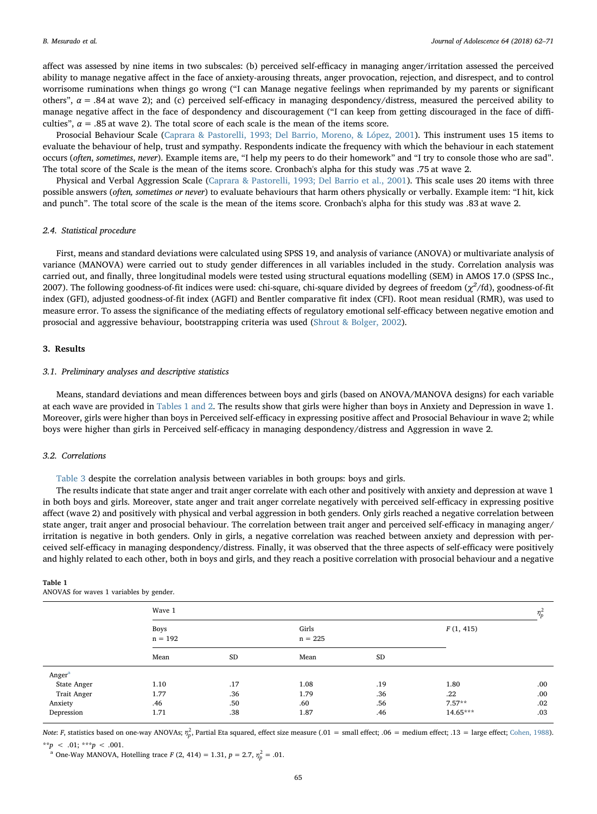affect was assessed by nine items in two subscales: (b) perceived self-efficacy in managing anger/irritation assessed the perceived ability to manage negative affect in the face of anxiety-arousing threats, anger provocation, rejection, and disrespect, and to control worrisome ruminations when things go wrong ("I can Manage negative feelings when reprimanded by my parents or significant others",  $\alpha$  = .84 at wave 2); and (c) perceived self-efficacy in managing despondency/distress, measured the perceived ability to manage negative affect in the face of despondency and discouragement ("I can keep from getting discouraged in the face of difficulties",  $\alpha$  = .85 at wave 2). The total score of each scale is the mean of the items score.

Prosocial Behaviour Scale ([Caprara & Pastorelli, 1993; Del Barrio, Moreno, & López, 2001](#page-8-13)). This instrument uses 15 items to evaluate the behaviour of help, trust and sympathy. Respondents indicate the frequency with which the behaviour in each statement occurs (often, sometimes, never). Example items are, "I help my peers to do their homework" and "I try to console those who are sad". The total score of the Scale is the mean of the items score. Cronbach's alpha for this study was .75 at wave 2.

Physical and Verbal Aggression Scale [\(Caprara & Pastorelli, 1993; Del Barrio et al., 2001](#page-8-13)). This scale uses 20 items with three possible answers (often, sometimes or never) to evaluate behaviours that harm others physically or verbally. Example item: "I hit, kick and punch". The total score of the scale is the mean of the items score. Cronbach's alpha for this study was .83 at wave 2.

#### 2.4. Statistical procedure

First, means and standard deviations were calculated using SPSS 19, and analysis of variance (ANOVA) or multivariate analysis of variance (MANOVA) were carried out to study gender differences in all variables included in the study. Correlation analysis was carried out, and finally, three longitudinal models were tested using structural equations modelling (SEM) in AMOS 17.0 (SPSS Inc., 2007). The following goodness-of-fit indices were used: chi-square, chi-square divided by degrees of freedom ( $\chi^2$ /fd), goodness-of-fit index (GFI), adjusted goodness-of-fit index (AGFI) and Bentler comparative fit index (CFI). Root mean residual (RMR), was used to measure error. To assess the significance of the mediating effects of regulatory emotional self-efficacy between negative emotion and prosocial and aggressive behaviour, bootstrapping criteria was used [\(Shrout & Bolger, 2002](#page-9-15)).

#### 3. Results

#### 3.1. Preliminary analyses and descriptive statistics

Means, standard deviations and mean differences between boys and girls (based on ANOVA/MANOVA designs) for each variable at each wave are provided in [Tables 1 and 2](#page-3-0). The results show that girls were higher than boys in Anxiety and Depression in wave 1. Moreover, girls were higher than boys in Perceived self-efficacy in expressing positive affect and Prosocial Behaviour in wave 2; while boys were higher than girls in Perceived self-efficacy in managing despondency/distress and Aggression in wave 2.

#### 3.2. Correlations

[Table 3](#page-4-0) despite the correlation analysis between variables in both groups: boys and girls.

The results indicate that state anger and trait anger correlate with each other and positively with anxiety and depression at wave 1 in both boys and girls. Moreover, state anger and trait anger correlate negatively with perceived self-efficacy in expressing positive affect (wave 2) and positively with physical and verbal aggression in both genders. Only girls reached a negative correlation between state anger, trait anger and prosocial behaviour. The correlation between trait anger and perceived self-efficacy in managing anger/ irritation is negative in both genders. Only in girls, a negative correlation was reached between anxiety and depression with perceived self-efficacy in managing despondency/distress. Finally, it was observed that the three aspects of self-efficacy were positively and highly related to each other, both in boys and girls, and they reach a positive correlation with prosocial behaviour and a negative

| AINOVAS TOI WAVES I VALIADIES DY GENGEL. |                          |     |                    |     |           |      |  |  |  |  |
|------------------------------------------|--------------------------|-----|--------------------|-----|-----------|------|--|--|--|--|
|                                          | Wave 1                   |     |                    |     |           |      |  |  |  |  |
|                                          | <b>Boys</b><br>$n = 192$ |     | Girls<br>$n = 225$ |     | F(1, 415) |      |  |  |  |  |
|                                          | Mean                     | SD  | Mean               | SD  |           |      |  |  |  |  |
| Anger <sup>a</sup>                       |                          |     |                    |     |           |      |  |  |  |  |
| <b>State Anger</b>                       | 1.10                     | .17 | 1.08               | .19 | 1.80      | .00. |  |  |  |  |
| Trait Anger                              | 1.77                     | .36 | 1.79               | .36 | $.22\,$   | .00. |  |  |  |  |
| Anxiety                                  | .46                      | .50 | .60                | .56 | $7.57**$  | .02  |  |  |  |  |
| Depression                               | 1.71                     | .38 | 1.87               | .46 | 14.65***  | .03  |  |  |  |  |

<span id="page-3-0"></span>Table 1 ANOVAS for waves 1 variables by gender.

Note: F, statistics based on one-way ANOVAs;  $\eta_p^2$ , Partial Eta squared, effect size measure (.01 = small effect; .06 = medium effect; .13 = large effect; [Cohen, 1988](#page-9-16)). \*\*p < .01; \*\*\*p < .001.

<span id="page-3-1"></span><sup>a</sup> One-Way MANOVA, Hotelling trace  $F(2, 414) = 1.31, p = 2.7, \eta_p^2 = .01$ .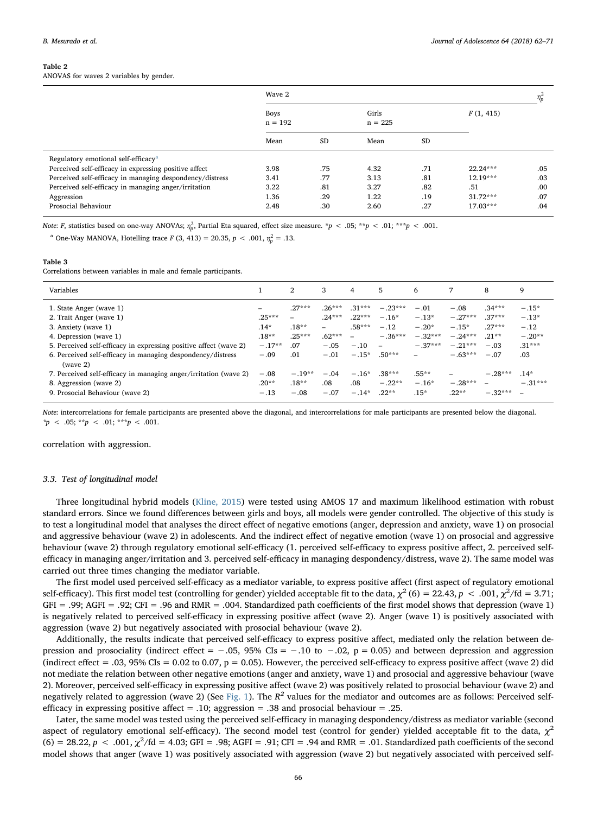#### Table 2

ANOVAS for waves 2 variables by gender.

|                                                          | Wave 2                   |           |                    |           |            |      |  |
|----------------------------------------------------------|--------------------------|-----------|--------------------|-----------|------------|------|--|
|                                                          | <b>Boys</b><br>$n = 192$ |           | Girls<br>$n = 225$ |           | F(1, 415)  |      |  |
|                                                          | Mean                     | <b>SD</b> | Mean               | <b>SD</b> |            |      |  |
| Regulatory emotional self-efficacy <sup>a</sup>          |                          |           |                    |           |            |      |  |
| Perceived self-efficacy in expressing positive affect    | 3.98                     | .75       | 4.32               | .71       | $22.24***$ | .05  |  |
| Perceived self-efficacy in managing despondency/distress | 3.41                     | .77       | 3.13               | .81       | $12.19***$ | .03  |  |
| Perceived self-efficacy in managing anger/irritation     | 3.22                     | .81       | 3.27               | .82       | .51        | .00. |  |
| Aggression                                               | 1.36                     | .29       | 1.22               | .19       | $31.72***$ | .07  |  |
| Prosocial Behaviour                                      | 2.48                     | .30       | 2.60               | .27       | $17.03***$ | .04  |  |

Note: F, statistics based on one-way ANOVAs;  $\eta_p^2$ , Partial Eta squared, effect size measure. \*p < .05; \*\*p < .01; \*\*\*p < .001.

<span id="page-4-1"></span><sup>a</sup> One-Way MANOVA, Hotelling trace  $F(3, 413) = 20.35, p < .001, \eta_p^2 = .13$ .

#### <span id="page-4-0"></span>Table 3

Correlations between variables in male and female participants.

| Variables                                                                                                                                                                                                                                                                                                                                                                            |                                                                                          | 2                                                                                   | 3                                                                                                           | 4                                                                                              | 5                                                                                                               | 6                                                                                            |                                                                                              | 8                                                                                                     | 9                                                                                  |
|--------------------------------------------------------------------------------------------------------------------------------------------------------------------------------------------------------------------------------------------------------------------------------------------------------------------------------------------------------------------------------------|------------------------------------------------------------------------------------------|-------------------------------------------------------------------------------------|-------------------------------------------------------------------------------------------------------------|------------------------------------------------------------------------------------------------|-----------------------------------------------------------------------------------------------------------------|----------------------------------------------------------------------------------------------|----------------------------------------------------------------------------------------------|-------------------------------------------------------------------------------------------------------|------------------------------------------------------------------------------------|
| 1. State Anger (wave 1)<br>2. Trait Anger (wave 1)<br>3. Anxiety (wave 1)<br>4. Depression (wave 1)<br>5. Perceived self-efficacy in expressing positive affect (wave 2)<br>6. Perceived self-efficacy in managing despondency/distress<br>(wave 2)<br>7. Perceived self-efficacy in managing anger/irritation (wave 2)<br>8. Aggression (wave 2)<br>9. Prosocial Behaviour (wave 2) | -<br>$.25***$<br>$.14*$<br>$.18***$<br>$-.17**$<br>$-.09$<br>$-.08$<br>$.20**$<br>$-.13$ | $.27***$<br>-<br>$.18**$<br>$.25***$<br>.07<br>.01<br>$-.19**$<br>$.18**$<br>$-.08$ | $.26***$<br>$.24***$<br>$\overline{\phantom{0}}$<br>$.62***$<br>$-.05$<br>$-.01$<br>$-.04$<br>.08<br>$-.07$ | $.31***$<br>$.22***$<br>$.58***$<br>$\equiv$<br>$-.10$<br>$-.15*$<br>$-.16*$<br>.08<br>$-.14*$ | $-.23***$<br>$-.16*$<br>$-.12$<br>$-.36***$<br>$\qquad \qquad -$<br>$.50***$<br>$.38***$<br>$-.22**$<br>$.22**$ | $-.01$<br>$-.13*$<br>$-.20*$<br>$-.32***$<br>$-.37***$<br>-<br>$.55***$<br>$-.16*$<br>$.15*$ | $-.08$<br>$-.27***$<br>$-.15*$<br>$-.24***$<br>$-.21***$<br>$-.63***$<br>$-.28***$<br>$22**$ | $.34***$<br>$.37***$<br>$.27***$<br>$.21**$<br>$-.03$<br>$-.07$<br>$-.28***$<br>$\equiv$<br>$-.32***$ | $-.15*$<br>$-.13*$<br>$-.12$<br>$-.20**$<br>$.31***$<br>.03<br>$.14*$<br>$-.31***$ |
|                                                                                                                                                                                                                                                                                                                                                                                      |                                                                                          |                                                                                     |                                                                                                             |                                                                                                |                                                                                                                 |                                                                                              |                                                                                              |                                                                                                       |                                                                                    |

Note: intercorrelations for female participants are presented above the diagonal, and intercorrelations for male participants are presented below the diagonal.  $*_{p} < .05; **_{p} < .01; **_{p} < .001.$ 

correlation with aggression.

#### 3.3. Test of longitudinal model

Three longitudinal hybrid models ([Kline, 2015](#page-9-17)) were tested using AMOS 17 and maximum likelihood estimation with robust standard errors. Since we found differences between girls and boys, all models were gender controlled. The objective of this study is to test a longitudinal model that analyses the direct effect of negative emotions (anger, depression and anxiety, wave 1) on prosocial and aggressive behaviour (wave 2) in adolescents. And the indirect effect of negative emotion (wave 1) on prosocial and aggressive behaviour (wave 2) through regulatory emotional self-efficacy (1. perceived self-efficacy to express positive affect, 2. perceived selfefficacy in managing anger/irritation and 3. perceived self-efficacy in managing despondency/distress, wave 2). The same model was carried out three times changing the mediator variable.

The first model used perceived self-efficacy as a mediator variable, to express positive affect (first aspect of regulatory emotional self-efficacy). This first model test (controlling for gender) yielded acceptable fit to the data,  $\chi^2$  (6) = 22.43,  $p < .001$ ,  $\chi^2/\text{fd} = 3.71;$ GFI = .99; AGFI = .92; CFI = .96 and RMR = .004. Standardized path coefficients of the first model shows that depression (wave 1) is negatively related to perceived self-efficacy in expressing positive affect (wave 2). Anger (wave 1) is positively associated with aggression (wave 2) but negatively associated with prosocial behaviour (wave 2).

Additionally, the results indicate that perceived self-efficacy to express positive affect, mediated only the relation between depression and prosociality (indirect effect =  $-.05$ , 95% CIs =  $-.10$  to  $-.02$ , p = 0.05) and between depression and aggression (indirect effect = .03, 95% CIs =  $0.02$  to 0.07, p = 0.05). However, the perceived self-efficacy to express positive affect (wave 2) did not mediate the relation between other negative emotions (anger and anxiety, wave 1) and prosocial and aggressive behaviour (wave 2). Moreover, perceived self-efficacy in expressing positive affect (wave 2) was positively related to prosocial behaviour (wave 2) and negatively related to aggression (wave 2) (See [Fig. 1\)](#page-5-0). The  $R^2$  values for the mediator and outcomes are as follows: Perceived selfefficacy in expressing positive affect  $= .10$ ; aggression  $= .38$  and prosocial behaviour  $= .25$ .

Later, the same model was tested using the perceived self-efficacy in managing despondency/distress as mediator variable (second aspect of regulatory emotional self-efficacy). The second model test (control for gender) yielded acceptable fit to the data,  $\chi^2$  $(6) = 28.22, p < .001, \chi^2/\text{fd} = 4.03;$  GFI = .98; AGFI = .91; CFI = .94 and RMR = .01. Standardized path coefficients of the second model shows that anger (wave 1) was positively associated with aggression (wave 2) but negatively associated with perceived self-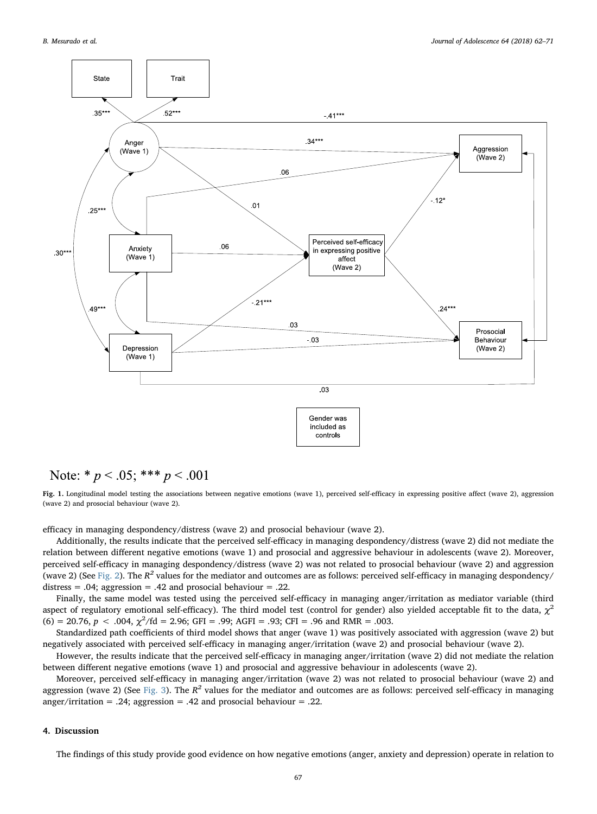<span id="page-5-0"></span>

## Note: \*  $p < .05$ ; \*\*\*  $p < .001$



efficacy in managing despondency/distress (wave 2) and prosocial behaviour (wave 2).

Additionally, the results indicate that the perceived self-efficacy in managing despondency/distress (wave 2) did not mediate the relation between different negative emotions (wave 1) and prosocial and aggressive behaviour in adolescents (wave 2). Moreover, perceived self-efficacy in managing despondency/distress (wave 2) was not related to prosocial behaviour (wave 2) and aggression (wave 2) (See [Fig. 2](#page-6-0)). The  $R^2$  values for the mediator and outcomes are as follows: perceived self-efficacy in managing despondency/ distress = .04; aggression = .42 and prosocial behaviour = .22.

Finally, the same model was tested using the perceived self-efficacy in managing anger/irritation as mediator variable (third aspect of regulatory emotional self-efficacy). The third model test (control for gender) also yielded acceptable fit to the data,  $\chi^2$  $(6) = 20.76$ ,  $p < .004$ ,  $\chi^2/\text{fd} = 2.96$ ; GFI = .99; AGFI = .93; CFI = .96 and RMR = .003.

Standardized path coefficients of third model shows that anger (wave 1) was positively associated with aggression (wave 2) but negatively associated with perceived self-efficacy in managing anger/irritation (wave 2) and prosocial behaviour (wave 2).

However, the results indicate that the perceived self-efficacy in managing anger/irritation (wave 2) did not mediate the relation between different negative emotions (wave 1) and prosocial and aggressive behaviour in adolescents (wave 2).

Moreover, perceived self-efficacy in managing anger/irritation (wave 2) was not related to prosocial behaviour (wave 2) and aggression (wave 2) (See [Fig. 3](#page-7-0)). The  $R^2$  values for the mediator and outcomes are as follows: perceived self-efficacy in managing anger/irritation = .24; aggression = .42 and prosocial behaviour = .22.

### 4. Discussion

The findings of this study provide good evidence on how negative emotions (anger, anxiety and depression) operate in relation to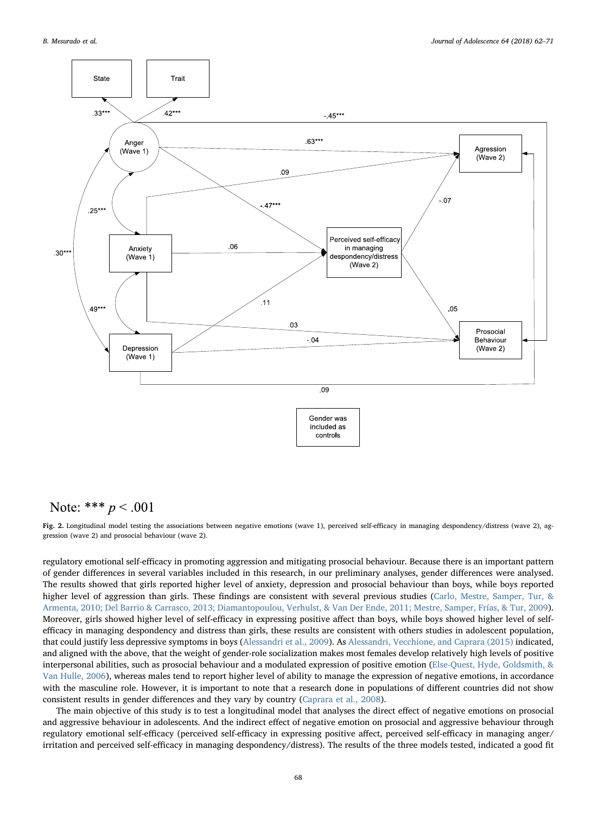<span id="page-6-0"></span>

## Note: \*\*\*  $p < .001$

Fig. 2. Longitudinal model testing the associations between negative emotions (wave 1), perceived self-efficacy in managing despondency/distress (wave 2), aggression (wave 2) and prosocial behaviour (wave 2).

regulatory emotional self-efficacy in promoting aggression and mitigating prosocial behaviour. Because there is an important pattern of gender differences in several variables included in this research, in our preliminary analyses, gender differences were analysed. The results showed that girls reported higher level of anxiety, depression and prosocial behaviour than boys, while boys reported higher level of aggression than girls. These findings are consistent with several previous studies ([Carlo, Mestre, Samper, Tur, &](#page-8-14) [Armenta, 2010; Del Barrio & Carrasco, 2013; Diamantopoulou, Verhulst, & Van Der Ende, 2011; Mestre, Samper, Frías, & Tur, 2009](#page-8-14)). Moreover, girls showed higher level of self-efficacy in expressing positive affect than boys, while boys showed higher level of selfefficacy in managing despondency and distress than girls, these results are consistent with others studies in adolescent population, that could justify less depressive symptoms in boys ([Alessandri et al., 2009\)](#page-8-8). As [Alessandri, Vecchione, and Caprara \(2015\)](#page-8-15) indicated, and aligned with the above, that the weight of gender-role socialization makes most females develop relatively high levels of positive interpersonal abilities, such as prosocial behaviour and a modulated expression of positive emotion [\(Else-Quest, Hyde, Goldsmith, &](#page-9-18) [Van Hulle, 2006\)](#page-9-18), whereas males tend to report higher level of ability to manage the expression of negative emotions, in accordance with the masculine role. However, it is important to note that a research done in populations of different countries did not show consistent results in gender differences and they vary by country ([Caprara et al., 2008](#page-8-10)).

The main objective of this study is to test a longitudinal model that analyses the direct effect of negative emotions on prosocial and aggressive behaviour in adolescents. And the indirect effect of negative emotion on prosocial and aggressive behaviour through regulatory emotional self-efficacy (perceived self-efficacy in expressing positive affect, perceived self-efficacy in managing anger/ irritation and perceived self-efficacy in managing despondency/distress). The results of the three models tested, indicated a good fit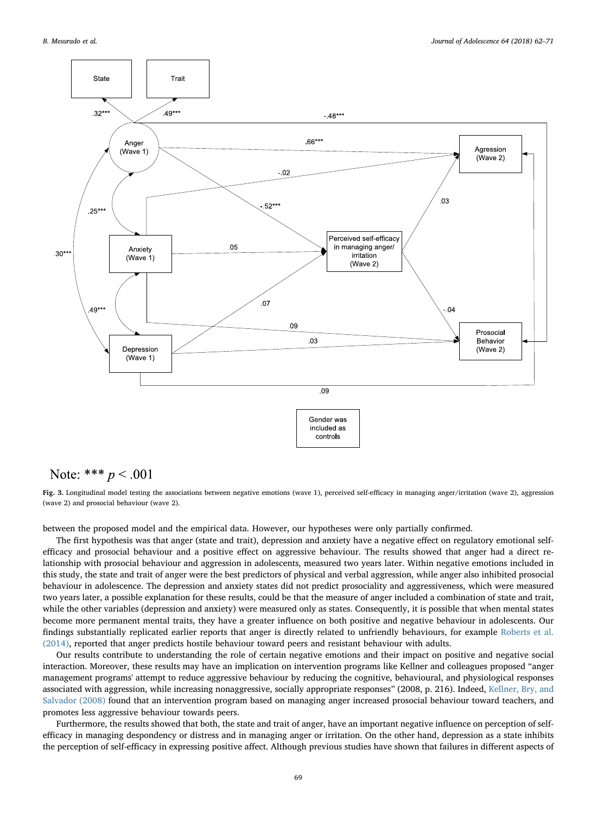<span id="page-7-0"></span>

## Note: \*\*\*  $p < .001$

Fig. 3. Longitudinal model testing the associations between negative emotions (wave 1), perceived self-efficacy in managing anger/irritation (wave 2), aggression (wave 2) and prosocial behaviour (wave 2).

between the proposed model and the empirical data. However, our hypotheses were only partially confirmed.

The first hypothesis was that anger (state and trait), depression and anxiety have a negative effect on regulatory emotional selfefficacy and prosocial behaviour and a positive effect on aggressive behaviour. The results showed that anger had a direct relationship with prosocial behaviour and aggression in adolescents, measured two years later. Within negative emotions included in this study, the state and trait of anger were the best predictors of physical and verbal aggression, while anger also inhibited prosocial behaviour in adolescence. The depression and anxiety states did not predict prosociality and aggressiveness, which were measured two years later, a possible explanation for these results, could be that the measure of anger included a combination of state and trait, while the other variables (depression and anxiety) were measured only as states. Consequently, it is possible that when mental states become more permanent mental traits, they have a greater influence on both positive and negative behaviour in adolescents. Our findings substantially replicated earlier reports that anger is directly related to unfriendly behaviours, for example [Roberts et al.](#page-9-4) [\(2014\),](#page-9-4) reported that anger predicts hostile behaviour toward peers and resistant behaviour with adults.

Our results contribute to understanding the role of certain negative emotions and their impact on positive and negative social interaction. Moreover, these results may have an implication on intervention programs like Kellner and colleagues proposed "anger management programs' attempt to reduce aggressive behaviour by reducing the cognitive, behavioural, and physiological responses associated with aggression, while increasing nonaggressive, socially appropriate responses" (2008, p. 216). Indeed, [Kellner, Bry, and](#page-9-19) [Salvador \(2008\)](#page-9-19) found that an intervention program based on managing anger increased prosocial behaviour toward teachers, and promotes less aggressive behaviour towards peers.

Furthermore, the results showed that both, the state and trait of anger, have an important negative influence on perception of selfefficacy in managing despondency or distress and in managing anger or irritation. On the other hand, depression as a state inhibits the perception of self-efficacy in expressing positive affect. Although previous studies have shown that failures in different aspects of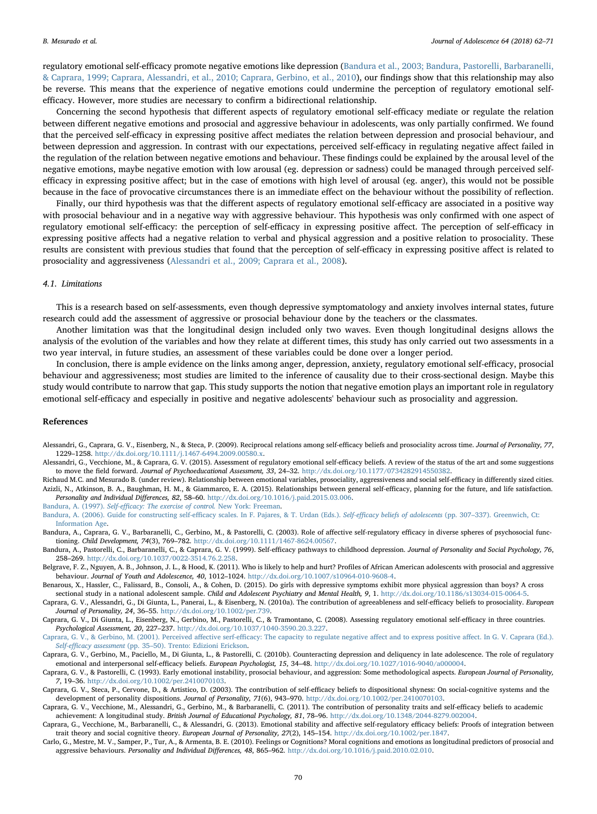regulatory emotional self-efficacy promote negative emotions like depression ([Bandura et al., 2003; Bandura, Pastorelli, Barbaranelli,](#page-8-11) [& Caprara, 1999; Caprara, Alessandri, et al., 2010; Caprara, Gerbino, et al., 2010](#page-8-11)), our findings show that this relationship may also be reverse. This means that the experience of negative emotions could undermine the perception of regulatory emotional selfefficacy. However, more studies are necessary to confirm a bidirectional relationship.

Concerning the second hypothesis that different aspects of regulatory emotional self-efficacy mediate or regulate the relation between different negative emotions and prosocial and aggressive behaviour in adolescents, was only partially confirmed. We found that the perceived self-efficacy in expressing positive affect mediates the relation between depression and prosocial behaviour, and between depression and aggression. In contrast with our expectations, perceived self-efficacy in regulating negative affect failed in the regulation of the relation between negative emotions and behaviour. These findings could be explained by the arousal level of the negative emotions, maybe negative emotion with low arousal (eg. depression or sadness) could be managed through perceived selfefficacy in expressing positive affect; but in the case of emotions with high level of arousal (eg. anger), this would not be possible because in the face of provocative circumstances there is an immediate effect on the behaviour without the possibility of reflection.

Finally, our third hypothesis was that the different aspects of regulatory emotional self-efficacy are associated in a positive way with prosocial behaviour and in a negative way with aggressive behaviour. This hypothesis was only confirmed with one aspect of regulatory emotional self-efficacy: the perception of self-efficacy in expressing positive affect. The perception of self-efficacy in expressing positive affects had a negative relation to verbal and physical aggression and a positive relation to prosociality. These results are consistent with previous studies that found that the perception of self-efficacy in expressing positive affect is related to prosociality and aggressiveness [\(Alessandri et al., 2009; Caprara et al., 2008\)](#page-8-8).

#### 4.1. Limitations

This is a research based on self-assessments, even though depressive symptomatology and anxiety involves internal states, future research could add the assessment of aggressive or prosocial behaviour done by the teachers or the classmates.

Another limitation was that the longitudinal design included only two waves. Even though longitudinal designs allows the analysis of the evolution of the variables and how they relate at different times, this study has only carried out two assessments in a two year interval, in future studies, an assessment of these variables could be done over a longer period.

In conclusion, there is ample evidence on the links among anger, depression, anxiety, regulatory emotional self-efficacy, prosocial behaviour and aggressiveness; most studies are limited to the inference of causality due to their cross-sectional design. Maybe this study would contribute to narrow that gap. This study supports the notion that negative emotion plays an important role in regulatory emotional self-efficacy and especially in positive and negative adolescents' behaviour such as prosociality and aggression.

#### References

- <span id="page-8-8"></span>Alessandri, G., Caprara, G. V., Eisenberg, N., & Steca, P. (2009). Reciprocal relations among self-efficacy beliefs and prosociality across time. Journal of Personality, 77, 1229–1258. [http://dx.doi.org/10.1111/j.1467-6494.2009.00580.x.](http://dx.doi.org/10.1111/j.1467-6494.2009.00580.x)
- <span id="page-8-15"></span>Alessandri, G., Vecchione, M., & Caprara, G. V. (2015). Assessment of regulatory emotional self-efficacy beliefs. A review of the status of the art and some suggestions to move the field forward. Journal of Psychoeducational Assessment, 33, 24-32. http://dx.doi.org/10.1177/0734282914550382
- <span id="page-8-3"></span>Richaud M.C. and Mesurado B. (under review). Relationship between emotional variables, prosociality, aggressiveness and social self-efficacy in differently sized cities. Azizli, N., Atkinson, B. A., Baughman, H. M., & Giammarco, E. A. (2015). Relationships between general self-efficacy, planning for the future, and life satisfaction. Personality and Individual Differences, 82, 58–60. [http://dx.doi.org/10.1016/j.paid.2015.03.006.](http://dx.doi.org/10.1016/j.paid.2015.03.006)

<span id="page-8-4"></span>Bandura, A. (1997). Self-effi[cacy: The exercise of control.](http://refhub.elsevier.com/S0140-1971(18)30014-9/sref5) New York: Freeman.

- <span id="page-8-9"></span>[Bandura, A. \(2006\). Guide for constructing self-e](http://refhub.elsevier.com/S0140-1971(18)30014-9/sref6)fficacy scales. In F. Pajares, & T. Urdan (Eds.). Self-efficacy beliefs of adolescents (pp. 307–337). Greenwich, Ct: [Information Age](http://refhub.elsevier.com/S0140-1971(18)30014-9/sref6).
- <span id="page-8-11"></span>Bandura, A., Caprara, G. V., Barbaranelli, C., Gerbino, M., & Pastorelli, C. (2003). Role of affective self-regulatory efficacy in diverse spheres of psychosocial functioning. Child Development, 74(3), 769–782. <http://dx.doi.org/10.1111/1467-8624.00567>.
- Bandura, A., Pastorelli, C., Barbaranelli, C., & Caprara, G. V. (1999). Self-efficacy pathways to childhood depression. Journal of Personality and Social Psychology, 76, 258–269. <http://dx.doi.org/10.1037/0022-3514.76.2.258>.
- <span id="page-8-0"></span>Belgrave, F. Z., Nguyen, A. B., Johnson, J. L., & Hood, K. (2011). Who is likely to help and hurt? Profiles of African American adolescents with prosocial and aggressive behaviour. Journal of Youth and Adolescence, 40, 1012–1024. <http://dx.doi.org/10.1007/s10964-010-9608-4>.
- <span id="page-8-1"></span>Benarous, X., Hassler, C., Falissard, B., Consoli, A., & Cohen, D. (2015). Do girls with depressive symptoms exhibit more physical aggression than boys? A cross sectional study in a national adolescent sample. Child and Adolescent Psychiatry and Mental Health, 9, 1. [http://dx.doi.org/10.1186/s13034-015-0064-5.](http://dx.doi.org/10.1186/s13034-015-0064-5)
- <span id="page-8-7"></span>Caprara, G. V., Alessandri, G., Di Giunta, L., Panerai, L., & Eisenberg, N. (2010a). The contribution of agreeableness and self-efficacy beliefs to prosociality. European Journal of Personality, 24, 36–55. <http://dx.doi.org/10.1002/per.739>.

<span id="page-8-10"></span>Caprara, G. V., Di Giunta, L., Eisenberg, N., Gerbino, M., Pastorelli, C., & Tramontano, C. (2008). Assessing regulatory emotional self-efficacy in three countries. Psychological Assessment, 20, 227–237. <http://dx.doi.org/10.1037/1040-3590.20.3.227>.

- <span id="page-8-6"></span>[Caprara, G. V., & Gerbino, M. \(2001\). Perceived a](http://refhub.elsevier.com/S0140-1971(18)30014-9/sref13)ffective serf-efficacy: The capacity to regulate negative affect and to express positive affect. In G. V. Caprara (Ed.). Self-efficacy assessment (pp. 35–[50\). Trento: Edizioni Erickson](http://refhub.elsevier.com/S0140-1971(18)30014-9/sref13).
- <span id="page-8-2"></span>Caprara, G. V., Gerbino, M., Paciello, M., Di Giunta, L., & Pastorelli, C. (2010b). Counteracting depression and deliquency in late adolescence. The role of regulatory emotional and interpersonal self-efficacy beliefs. European Psychologist, 15, 34–48. <http://dx.doi.org/10.1027/1016-9040/a000004>.
- <span id="page-8-13"></span>Caprara, G. V., & Pastorelli, C. (1993). Early emotional instability, prosocial behaviour, and aggression: Some methodological aspects. European Journal of Personality, 7, 19–36. [http://dx.doi.org/10.1002/per.2410070103.](http://dx.doi.org/10.1002/per.2410070103)
- <span id="page-8-12"></span>Caprara, G. V., Steca, P., Cervone, D., & Artistico, D. (2003). The contribution of self-efficacy beliefs to dispositional shyness: On social-cognitive systems and the development of personality dispositions. Journal of Personality, 71(6), 943–970. [http://dx.doi.org/10.1002/per.2410070103.](http://dx.doi.org/10.1002/per.2410070103)
- Caprara, G. V., Vecchione, M., Alessandri, G., Gerbino, M., & Barbaranelli, C. (2011). The contribution of personality traits and self-efficacy beliefs to academic achievement: A longitudinal study. British Journal of Educational Psychology, 81, 78–96. <http://dx.doi.org/10.1348/2044-8279.002004>.
- <span id="page-8-5"></span>Caprara, G., Vecchione, M., Barbaranelli, C., & Alessandri, G. (2013). Emotional stability and affective self-regulatory efficacy beliefs: Proofs of integration between trait theory and social cognitive theory. European Journal of Personality, 27(2), 145–154. <http://dx.doi.org/10.1002/per.1847>.
- <span id="page-8-14"></span>Carlo, G., Mestre, M. V., Samper, P., Tur, A., & Armenta, B. E. (2010). Feelings or Cognitions? Moral cognitions and emotions as longitudinal predictors of prosocial and aggressive behaviours. Personality and Individual Differences, 48, 865–962. <http://dx.doi.org/10.1016/j.paid.2010.02.010>.